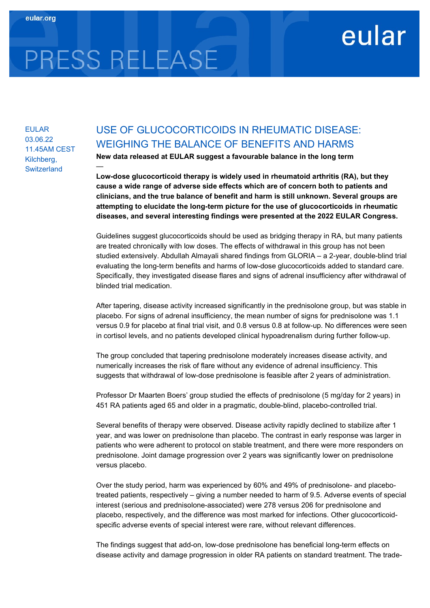## eular

# PRESS RELEASE

—

EULAR 03.06.22 11.45AM CEST Kilchberg, **Switzerland** 

### USE OF GLUCOCORTICOIDS IN RHEUMATIC DISEASE: WEIGHING THE BALANCE OF BENEFITS AND HARMS

New data released at EULAR suggest a favourable balance in the long term

Low-dose glucocorticoid therapy is widely used in rheumatoid arthritis (RA), but they cause a wide range of adverse side effects which are of concern both to patients and clinicians, and the true balance of benefit and harm is still unknown. Several groups are attempting to elucidate the long-term picture for the use of glucocorticoids in rheumatic diseases, and several interesting findings were presented at the 2022 EULAR Congress.

Guidelines suggest glucocorticoids should be used as bridging therapy in RA, but many patients are treated chronically with low doses. The effects of withdrawal in this group has not been studied extensively. Abdullah Almayali shared findings from GLORIA – a 2-year, double-blind trial evaluating the long-term benefits and harms of low-dose glucocorticoids added to standard care. Specifically, they investigated disease flares and signs of adrenal insufficiency after withdrawal of blinded trial medication.

After tapering, disease activity increased significantly in the prednisolone group, but was stable in placebo. For signs of adrenal insufficiency, the mean number of signs for prednisolone was 1.1 versus 0.9 for placebo at final trial visit, and 0.8 versus 0.8 at follow-up. No differences were seen in cortisol levels, and no patients developed clinical hypoadrenalism during further follow-up.

The group concluded that tapering prednisolone moderately increases disease activity, and numerically increases the risk of flare without any evidence of adrenal insufficiency. This suggests that withdrawal of low-dose prednisolone is feasible after 2 years of administration.

Professor Dr Maarten Boers' group studied the effects of prednisolone (5 mg/day for 2 years) in 451 RA patients aged 65 and older in a pragmatic, double-blind, placebo-controlled trial.

Several benefits of therapy were observed. Disease activity rapidly declined to stabilize after 1 year, and was lower on prednisolone than placebo. The contrast in early response was larger in patients who were adherent to protocol on stable treatment, and there were more responders on prednisolone. Joint damage progression over 2 years was significantly lower on prednisolone versus placebo.

Over the study period, harm was experienced by 60% and 49% of prednisolone- and placebotreated patients, respectively – giving a number needed to harm of 9.5. Adverse events of special interest (serious and prednisolone-associated) were 278 versus 206 for prednisolone and placebo, respectively, and the difference was most marked for infections. Other glucocorticoidspecific adverse events of special interest were rare, without relevant differences.

The findings suggest that add-on, low-dose prednisolone has beneficial long-term effects on disease activity and damage progression in older RA patients on standard treatment. The trade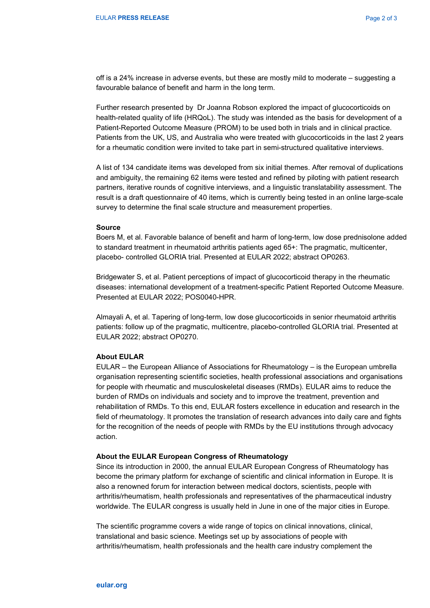off is a 24% increase in adverse events, but these are mostly mild to moderate – suggesting a favourable balance of benefit and harm in the long term.

Further research presented by Dr Joanna Robson explored the impact of glucocorticoids on health-related quality of life (HRQoL). The study was intended as the basis for development of a Patient-Reported Outcome Measure (PROM) to be used both in trials and in clinical practice. Patients from the UK, US, and Australia who were treated with glucocorticoids in the last 2 years for a rheumatic condition were invited to take part in semi-structured qualitative interviews.

A list of 134 candidate items was developed from six initial themes. After removal of duplications and ambiguity, the remaining 62 items were tested and refined by piloting with patient research partners, iterative rounds of cognitive interviews, and a linguistic translatability assessment. The result is a draft questionnaire of 40 items, which is currently being tested in an online large-scale survey to determine the final scale structure and measurement properties.

#### Source

Boers M, et al. Favorable balance of benefit and harm of long-term, low dose prednisolone added to standard treatment in rheumatoid arthritis patients aged 65+: The pragmatic, multicenter, placebo- controlled GLORIA trial. Presented at EULAR 2022; abstract OP0263.

Bridgewater S, et al. Patient perceptions of impact of glucocorticoid therapy in the rheumatic diseases: international development of a treatment-specific Patient Reported Outcome Measure. Presented at EULAR 2022; POS0040-HPR.

Almayali A, et al. Tapering of long-term, low dose glucocorticoids in senior rheumatoid arthritis patients: follow up of the pragmatic, multicentre, placebo-controlled GLORIA trial. Presented at EULAR 2022; abstract OP0270.

#### About EULAR

EULAR – the European Alliance of Associations for Rheumatology – is the European umbrella organisation representing scientific societies, health professional associations and organisations for people with rheumatic and musculoskeletal diseases (RMDs). EULAR aims to reduce the burden of RMDs on individuals and society and to improve the treatment, prevention and rehabilitation of RMDs. To this end, EULAR fosters excellence in education and research in the field of rheumatology. It promotes the translation of research advances into daily care and fights for the recognition of the needs of people with RMDs by the EU institutions through advocacy action.

#### About the EULAR European Congress of Rheumatology

Since its introduction in 2000, the annual EULAR European Congress of Rheumatology has become the primary platform for exchange of scientific and clinical information in Europe. It is also a renowned forum for interaction between medical doctors, scientists, people with arthritis/rheumatism, health professionals and representatives of the pharmaceutical industry worldwide. The EULAR congress is usually held in June in one of the major cities in Europe.

The scientific programme covers a wide range of topics on clinical innovations, clinical, translational and basic science. Meetings set up by associations of people with arthritis/rheumatism, health professionals and the health care industry complement the